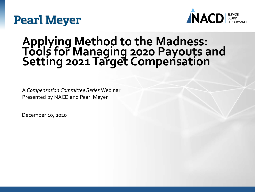## **Pearl Meyer**



### **Applying Method to the Madness: Tools for Managing 2020 Payouts and Setting 2021 Target Compensation**

A *Compensation Committee Series* Webinar Presented by NACD and Pearl Meyer

December 10, 2020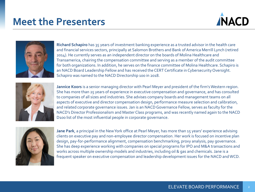### **Meet the Presenters**





**Richard Schapiro** has 35 years of investment banking experience as a trusted advisor in the health care and financial services sectors, principally at Salomon Brothers and Bank of America Merrill Lynch (retired 2014). He currently serves as an independent director on the boards of Molina Healthcare and Transamerica, chairing the compensation committee and serving as a member of the audit committee for both organizations. In addition, he serves on the finance committee of Molina Healthcare. Schapiro is an NACD Board Leadership Fellow and has received the CERT Certificate in Cybersecurity Oversight. Schapiro was named to the NACD Directorship 100 in 2018.



**Jannice Koors** is a senior managing director with Pearl Meyer and president of the firm's Western region. She has more than 25 years of experience in executive compensation and governance, and has consulted to companies of all sizes and industries. She advises company boards and management teams on all aspects of executive and director compensation design, performance measure selection and calibration, and related corporate governance issues. Jan is an NACD Governance Fellow, serves as faculty for the NACD's Director Professionalism and Master Class programs, and was recently named again to the NACD D100 list of the most influential people in corporate governance.



**Jane Park**, a principal in the New York office at Pearl Meyer, has more than 15 years' experience advising clients on executive pay and non-employee director compensation. Her work is focused on incentive plan design, pay-for-performance alignment, compensation benchmarking, proxy analysis, pay governance. She has deep experience working with companies on special programs for IPO and M&A transactions and works across multiple ownership models and industries, including oil & gas and chemicals. Jane is a frequent speaker on executive compensation and leadership development issues for the NACD and WCD.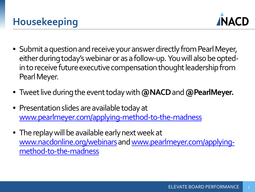

- Submit a question and receive your answer directly from Pearl Meyer, either during today's webinar or as a follow-up. You will also be optedin to receive future executive compensation thought leadership from Pearl Meyer.
- Tweet live during the event today with **@NACD**and **@PearlMeyer.**
- Presentation slides are available today at [www.pearlmeyer.com/applying-method-to-the-madness](http://www.pearlmeyer.com/applying-method-to-the-madness)
- The replay will be available early next week at [www.nacdonline.org/webinar](http://www.nacdonline.org/webinars)s and www.pearlmeyer.com/applyingmethod-to-the-madness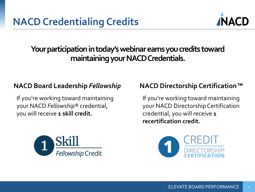

### **Your participation in today's webinar earns you credits toward maintaining your NACD Credentials.**

### **NACD Board Leadership** *Fellowship* **NACD Directorship Certification***™*

If you're working toward maintaining your NACD *Fellowship®* credential, you will receive **1 skill credit.**



If you're working toward maintaining your NACD Directorship Certification credential, you will receive **1 recertification credit.**

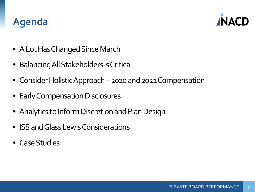### **Agenda**



- A Lot Has Changed Since March
- Balancing All Stakeholders is Critical
- Consider Holistic Approach –2020 and 2021 Compensation
- Early Compensation Disclosures
- Analytics to Inform Discretion and Plan Design
- ISS and Glass Lewis Considerations
- Case Studies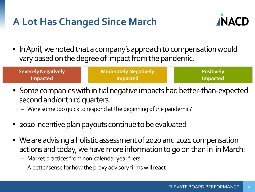### **A Lot Has Changed Since March**



• In April, we noted that a company's approach to compensation would vary based on the degree of impact from the pandemic.

| <b>Severely Negatively</b> | <b>Moderately Negatively</b> | <b>Positively</b> |
|----------------------------|------------------------------|-------------------|
| <b>Impacted</b>            | <b>Impacted</b>              | Impacted          |

- Some companies with initial negative impacts had better-than-expected second and/or third quarters.
	- Were some too quick to respond at the beginning of the pandemic?
- 2020 incentive plan payouts continue to be evaluated
- We are advising a holistic assessment of 2020 and 2021 compensation actions and today, we have more information to go on than in in March:
	- Market practices from non-calendar year filers
	- A better sense for how the proxy advisory firms will react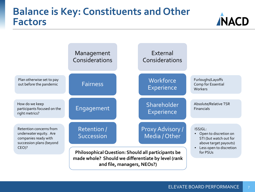### **Balance is Key: Constituents and Other Factors**





7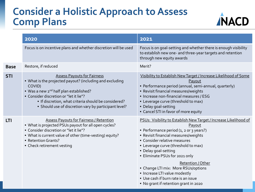### **Consider a Holistic Approach to Assess Comp Plans**



EREDIT GRAFIE 2020

|             | 2020                                                                                                                                                                                                                                                                                                                      | 2021                                                                                                                                                                                                                                                                                                                                                                                                                                                                         |
|-------------|---------------------------------------------------------------------------------------------------------------------------------------------------------------------------------------------------------------------------------------------------------------------------------------------------------------------------|------------------------------------------------------------------------------------------------------------------------------------------------------------------------------------------------------------------------------------------------------------------------------------------------------------------------------------------------------------------------------------------------------------------------------------------------------------------------------|
|             | Focus is on incentive plans and whether discretion will be used                                                                                                                                                                                                                                                           | Focus is on goal-setting and whether there is enough visibility<br>to establish new one- and three-year targets and retention<br>through new equity awards                                                                                                                                                                                                                                                                                                                   |
| <b>Base</b> | Restore, if reduced                                                                                                                                                                                                                                                                                                       | Merit?                                                                                                                                                                                                                                                                                                                                                                                                                                                                       |
| <b>STI</b>  | <b>Assess Payouts for Fairness</b><br>. What is the projected payout? (including and excluding<br>COVID)<br>• Was a new 2 <sup>nd</sup> half plan established?<br>• Consider discretion or "let it lie"?<br>. If discretion, what criteria should be considered?<br>• Should use of discretion vary by participant level? | Visibility to Establish New Target / Increase Likelihood of Some<br>Payout<br>· Performance period (annual, semi-annual, quarterly)<br>• Revisit financial measures/weights<br>· Increase non-financial measures / ESG<br>• Leverage curve (threshold to max)<br>• Delay goal-setting<br>• Cancel STI in favor of more equity                                                                                                                                                |
| LTI         | <b>Assess Payouts for Fairness / Retention</b><br>. What is projected PSUs payout for all open cycles?<br>• Consider discretion or "let it lie"?<br>. What is current value of other (time-vesting) equity?<br>• Retention Grants?<br>• Check retirement vesting                                                          | PSUs: Visibility to Establish New Target / Increase Likelihood of<br>Payout<br>• Performance period (1, 2 or 3 years?)<br>• Revisit financial measures/weights<br>• Consider relative measures<br>• Leverage curve (threshold to max)<br>• Delay goal-setting<br>• Eliminate PSUs for 2021 only<br>Retention / Other<br>• Change LTI mix: More RSUs/options<br>• Increase LTI value modestly<br>• Use cash if burn rate is an issue<br>• No grant if retention grant in 2020 |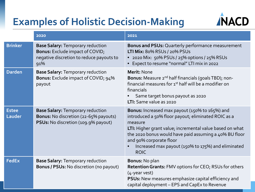### **Examples of Holistic Decision-Making**



|                        | 2020                                                                                                                                 | 2021                                                                                                                                                                                                                                                                                                                                          |
|------------------------|--------------------------------------------------------------------------------------------------------------------------------------|-----------------------------------------------------------------------------------------------------------------------------------------------------------------------------------------------------------------------------------------------------------------------------------------------------------------------------------------------|
| <b>Brinker</b>         | <b>Base Salary: Temporary reduction</b><br><b>Bonus:</b> Exclude impact of COVID;<br>negative discretion to reduce payouts to<br>91% | <b>Bonus and PSUs: Quarterly performance measurement</b><br><b>LTI Mix: 80% RSUs / 20% PSUs</b><br>2020 Mix: 50% PSUs / 25% options / 25% RSUs<br>$\bullet$<br>Expect to resume "normal" LTI mix in 2022                                                                                                                                      |
| <b>Darden</b>          | <b>Base Salary: Temporary reduction</b><br><b>Bonus:</b> Exclude impact of COVID; 94%<br>payout                                      | Merit: None<br>Bonus: Measure 2 <sup>nd</sup> half financials (goals TBD); non-<br>financial measures for 1 <sup>st</sup> half will be a modifier on<br>financials<br>Same target bonus payout as 2020<br>LTI: Same value as 2020                                                                                                             |
| <b>Estee</b><br>Lauder | <b>Base Salary: Temporary reduction</b><br>Bonus: No discretion (22-65% payouts)<br>PSUs: No discretion (109.9% payout)              | <b>Bonus:</b> Increased max payout (150% to 165%) and<br>introduced a 50% floor payout; eliminated ROIC as a<br>measure<br>LTI: Higher grant value; incremental value based on what<br>the 2020 bonus would have paid assuming a 40% BU floor<br>and 90% corporate floor<br>Increased max payout (150% to 175%) and eliminated<br><b>ROIC</b> |
| <b>FedEx</b>           | <b>Base Salary: Temporary reduction</b><br>Bonus / PSUs: No discretion (no payout)                                                   | <b>Bonus: No plan</b><br><b>Retention Grants: FMV options for CEO; RSUs for others</b><br>(4-year vest)<br><b>PSUs:</b> New measures emphasize capital efficiency and<br>capital deployment - EPS and CapEx to Revenue                                                                                                                        |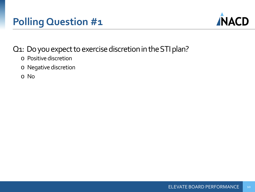### **Polling Question #1**



### Q1: Do you expect to exercise discretion in the STI plan?

- o Positive discretion
- o Negative discretion
- o No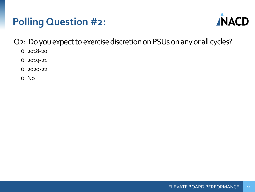### **Polling Question #2:**



Q2: Do you expect to exercise discretion on PSUs on any or all cycles?

- o 2018-20
- o 2019-21
- o 2020-22
- o No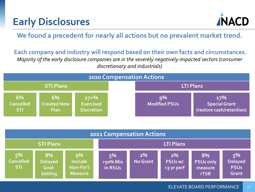### **Early Disclosures**



**We found a precedent for nearly all actions but no prevalent market trend.**

**Each company and industry will respond based on their own facts and circumstances.** *Majority of the early disclosure companies are in the severely negatively impacted sectors (consumer discretionary and industrials)*



| 2021 Compensation Actions            |                                                 |                                                     |                              |                   |                             |                                                  |                                              |
|--------------------------------------|-------------------------------------------------|-----------------------------------------------------|------------------------------|-------------------|-----------------------------|--------------------------------------------------|----------------------------------------------|
| <b>STI Plans</b>                     |                                                 |                                                     | <b>LTI Plans</b>             |                   |                             |                                                  |                                              |
| 5%<br><b>Cancelled</b><br><b>STI</b> | 8%<br><b>Delayed</b><br>Goal-<br><b>Setting</b> | 9%<br><b>Include</b><br>Non-Fin'l<br><b>Measure</b> | 5%<br>$>50\%$ Mix<br>in RSUs | $2\%$<br>No Grant | 2%<br>PSUs w/<br><3 yr perf | 8%<br><b>PSUs only</b><br>measure<br><b>rTSR</b> | 5%<br><b>Delayed</b><br><b>PSUs</b><br>Grant |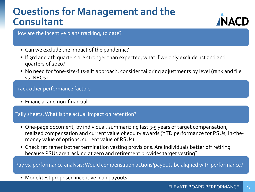### **Questions for Management and the Consultant**



How are the incentive plans tracking, to date?

- Can we exclude the impact of the pandemic?
- If 3rd and 4th quarters are stronger than expected, what if we only exclude 1st and 2nd quarters of 2020?
- No need for "one-size-fits-all" approach; consider tailoring adjustments by level (rank and file vs. NEOs).

#### Track other performance factors

• Financial and non-financial

#### Tally sheets: What is the actual impact on retention?

- One-page document, by individual, summarizing last 3-5 years of target compensation, realized compensation and current value of equity awards (YTD performance for PSUs, in-themoney value of options, current value of RSUs)
- Check retirement/other termination vesting provisions. Are individuals better off retiring because PSUs are tracking at zero and retirement provides target vesting?

Pay vs. performance analysis: Would compensation actions/payouts be aligned with performance?

• Model/test proposed incentive plan payouts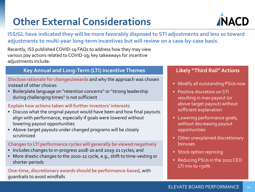## **Other External Considerations**



**ISS/GL have indicated they will be more favorably disposed to STI adjustments and less so toward adjustments to multi-year long-term incentives but will review on a case-by-case basis.**

Recently, ISS published COVID-19 FAQs to address how they may view various pay actions related to COVID-19; key takeaways for incentive adjustments include:

#### **Key Annual and Long-Term (LTI) Incentive Themes**

**Disclose rationale for changes/awards** and why the approach was chosen instead of other choices

• Boilerplate language on "retention concerns" or "strong leadership during challenging times" is not sufficient

#### **Explain how actions taken will further investors' interests**

- Discuss what the original payout would have been and how final payouts align with performance, especially if goals were lowered without lowering payout opportunities
- Above-target payouts under changed programs will be closely scrutinized

#### **Changes to LTI performance cycles will generally be viewed negatively**

- Includes changes to in-progress 2018-20 and 2019-21 cycles; and
- More drastic changes to the 2020-22 cycle, e.g., shift to time-vesting or shorter periods

**One-time, discretionary awards should be performance-based**, with guardrails to avoid windfalls

#### **Likely "Third Rail" Actions**

- Modify all outstanding PSUs now
- Positive discretion on STI resulting in max payout (or above target payout) without sufficient explanation
- Lowering performance goals, without decreasing payout opportunities
- Other unexplained discretionary bonuses
- Stock option repricing
- Reducing PSUs in the 2021 CEO LTI mix to  $<$ 50%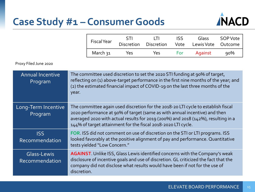### **Case Study #1 – Consumer Goods**



| <b>Fiscal Year</b> | <b>STI</b><br><b>Discretion</b> | $\perp$<br><b>Discretion</b> | ISS<br>Vote | Glass<br>Lewis Vote Outcome | SOP Vote |
|--------------------|---------------------------------|------------------------------|-------------|-----------------------------|----------|
| March 31           | Yes                             | Yes                          | For         | Against                     | $90\%$   |

Proxy Filed June 2020

| <b>Annual Incentive</b><br>Program | The committee used discretion to set the 2020 STI funding at 90% of target,<br>reflecting on (1) above-target performance in the first nine months of the year; and<br>(2) the estimated financial impact of COVID-19 on the last three months of the<br>year.                                                        |
|------------------------------------|-----------------------------------------------------------------------------------------------------------------------------------------------------------------------------------------------------------------------------------------------------------------------------------------------------------------------|
| Long-Term Incentive<br>Program     | The committee again used discretion for the 2018-20 LTI cycle to establish fiscal<br>2020 performance at 90% of target (same as with annual incentive) and then<br>averaged 2020 with actual results for 2019 (200%) and 2018 (142%), resulting in a<br>144% of target attainment for the fiscal 2018-2020 LTI cycle. |
| <b>ISS</b><br>Recommendation       | FOR. ISS did not comment on use of discretion on the STI or LTI programs. ISS<br>looked favorably at the positive alignment of pay and performance. Quantitative<br>tests yielded "Low Concern."                                                                                                                      |
| Glass-Lewis<br>Recommendation      | <b>AGAINST</b> . Unlike ISS, Glass Lewis identified concerns with the Company's weak<br>disclosure of incentive goals and use of discretion. GL criticized the fact that the<br>company did not disclose what results would have been if not for the use of<br>discretion.                                            |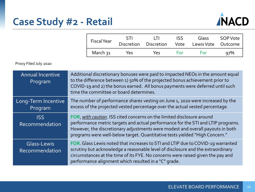### **Case Study #2 - Retail**



| <b>Fiscal Year</b>    | STI               | 111               | ISS  | Glass      | SOP Vote |
|-----------------------|-------------------|-------------------|------|------------|----------|
|                       | <b>Discretion</b> | <b>Discretion</b> | Vote | Lewis Vote | Outcome  |
| March วุ <sub>1</sub> | Yes               | Υρς               | For  | <b>For</b> | 97%      |

Proxy Filed July 2020

| <b>Annual Incentive</b><br>Program   | Additional discretionary bonuses were paid to impacted NEOs in the amount equal<br>to the difference between 1) 50% of the projected bonus achievement prior to<br>COVID-19 and 2) the bonus earned. All bonus payments were deferred until such<br>time the committee or board determines.                                 |
|--------------------------------------|-----------------------------------------------------------------------------------------------------------------------------------------------------------------------------------------------------------------------------------------------------------------------------------------------------------------------------|
| Long-Term Incentive<br>Program       | The number of performance shares vesting on June 1, 2020 were increased by the<br>excess of the projected vested percentage over the actual vested percentage.                                                                                                                                                              |
| <b>ISS</b><br>Recommendation         | FOR, with caution. ISS cited concerns on the limited disclosure around<br>performance metric targets and actual performance for the STI and LTIP programs.<br>However, the discretionary adjustments were modest and overall payouts in both<br>programs were well-below target. Quantitative tests yielded "High Concern." |
| <b>Glass-Lewis</b><br>Recommendation | FOR. Glass Lewis noted that increases to STI and LTIP due to COVID-19 warranted<br>scrutiny but acknowledge a reasonable level of disclosure and the extraordinary<br>circumstances at the time of its FYE. No concerns were raised given the pay and<br>performance alignment which resulted in a "C" grade.               |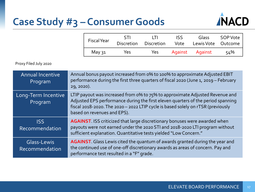### **Case Study #3 – Consumer Goods**



| <b>Fiscal Year</b> | <b>STI</b><br><b>Discretion</b> | 111<br><b>Discretion</b> | <b>ISS</b><br>Vote | Glass<br>Lewis Vote Outcome | SOP Vote |
|--------------------|---------------------------------|--------------------------|--------------------|-----------------------------|----------|
| May 31             | Yes                             | Yes.                     | Against            | Against                     | 54%      |

Proxy Filed July 2020

| <b>Annual Incentive</b><br>Program | Annual bonus payout increased from 0% to 100% to approximate Adjusted EBIT<br>performance during the first three quarters of fiscal 2020 (June 1, 2019 - February<br>29, 2020).                                                                                                     |
|------------------------------------|-------------------------------------------------------------------------------------------------------------------------------------------------------------------------------------------------------------------------------------------------------------------------------------|
| Long-Term Incentive<br>Program     | LTIP payout was increased from o% to 75% to approximate Adjusted Revenue and<br>Adjusted EPS performance during the first eleven quarters of the period spanning<br>fiscal 2018-2020. The 2020 - 2022 LTIP cycle is based solely on rTSR (previously<br>based on revenues and EPS). |
| <b>ISS</b><br>Recommendation       | <b>AGAINST.</b> ISS criticized that large discretionary bonuses were awarded when<br>payouts were not earned under the 2020 STI and 2018-2020 LTI program without<br>sufficient explanation. Quantitative tests yielded "Low Concern."                                              |
| Glass-Lewis<br>Recommendation      | AGAINST. Glass Lewis cited the quantum of awards granted during the year and<br>the continued use of one-off discretionary awards as areas of concern. Pay and<br>performance test resulted in a "F" grade.                                                                         |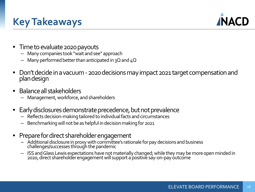### **Key Takeaways**



- Time to evaluate 2020 payouts
	- Many companies took "wait and see" approach
	- $-$  Many performed better than anticipated in 3Q and  $4Q$
- Don't decide in a vacuum -2020 decisions may impact 2021 target compensation and plan design
- Balance all stakeholders
	- Management, workforce, and shareholders
- Early disclosures demonstrate precedence, but not prevalence
	- Reflects decision-making tailored to individual facts and circumstances
	- Benchmarking will not be as helpful in decision making for 2021
- Prepare for direct shareholder engagement
	- Additional disclosure in proxy with committee's rationale for pay decisions and business challenges/successes through the pandemic
	- ISS and Glass Lewis expectations have not materially changed; while they may be more open minded in 2020, direct shareholder engagement will support a positive say-on-pay outcome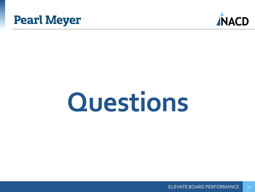



# **Questions**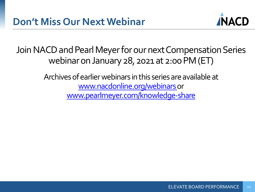

Join NACD and Pearl Meyer for our next Compensation Series webinar on January 28, 2021 at 2:00 PM (ET)

> Archives of earlier webinars in this series are available at [www.nacdonline.org/webinars o](https://www.nacdonline.org/insights/videos?series=154)r [www.pearlmeyer.com/knowledge-share](http://www.pearlmeyer.com/knowledge-share)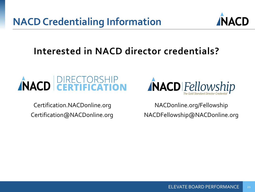**NACD Credentialing Information**



### **Interested in NACD director credentials?**



Certification.NACDonline.org Certification@NACDonline.org



NACDonline.org/Fellowship NACDFellowship@NACDonline.org